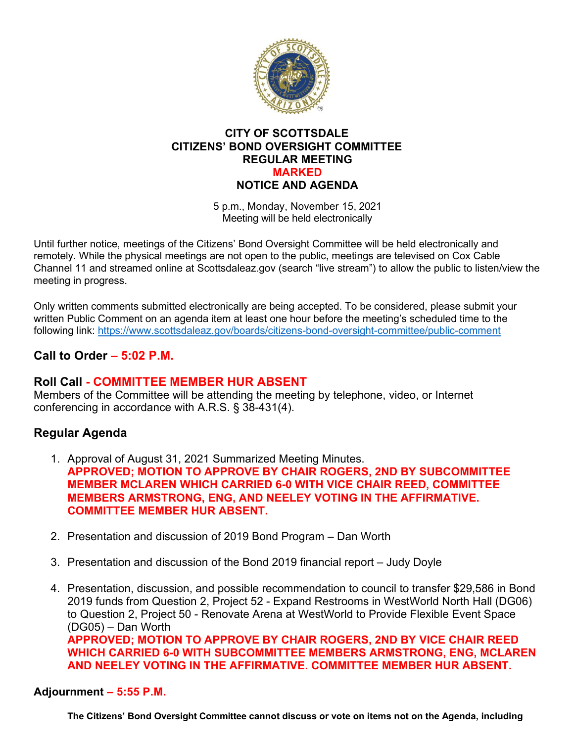

### **CITY OF SCOTTSDALE CITIZENS' BOND OVERSIGHT COMMITTEE REGULAR MEETING MARKED NOTICE AND AGENDA**

5 p.m., Monday, November 15, 2021 Meeting will be held electronically

Until further notice, meetings of the Citizens' Bond Oversight Committee will be held electronically and remotely. While the physical meetings are not open to the public, meetings are televised on Cox Cable Channel 11 and streamed online at Scottsdaleaz.gov (search "live stream") to allow the public to listen/view the meeting in progress.

Only written comments submitted electronically are being accepted. To be considered, please submit your written Public Comment on an agenda item at least one hour before the meeting's scheduled time to the following link:<https://www.scottsdaleaz.gov/boards/citizens-bond-oversight-committee/public-comment>

# **Call to Order – 5:02 P.M.**

# **Roll Call - COMMITTEE MEMBER HUR ABSENT**

Members of the Committee will be attending the meeting by telephone, video, or Internet conferencing in accordance with A.R.S. § 38-431(4).

# **Regular Agenda**

- 1. Approval of August 31, 2021 Summarized Meeting Minutes. **APPROVED; MOTION TO APPROVE BY CHAIR ROGERS, 2ND BY SUBCOMMITTEE MEMBER MCLAREN WHICH CARRIED 6-0 WITH VICE CHAIR REED, COMMITTEE MEMBERS ARMSTRONG, ENG, AND NEELEY VOTING IN THE AFFIRMATIVE. COMMITTEE MEMBER HUR ABSENT.**
- 2. Presentation and discussion of 2019 Bond Program Dan Worth
- 3. Presentation and discussion of the Bond 2019 financial report Judy Doyle
- 4. Presentation, discussion, and possible recommendation to council to transfer \$29,586 in Bond 2019 funds from Question 2, Project 52 - Expand Restrooms in WestWorld North Hall (DG06) to Question 2, Project 50 - Renovate Arena at WestWorld to Provide Flexible Event Space (DG05) – Dan Worth **APPROVED; MOTION TO APPROVE BY CHAIR ROGERS, 2ND BY VICE CHAIR REED WHICH CARRIED 6-0 WITH SUBCOMMITTEE MEMBERS ARMSTRONG, ENG, MCLAREN AND NEELEY VOTING IN THE AFFIRMATIVE. COMMITTEE MEMBER HUR ABSENT.**

### **Adjournment – 5:55 P.M.**

**The Citizens' Bond Oversight Committee cannot discuss or vote on items not on the Agenda, including**